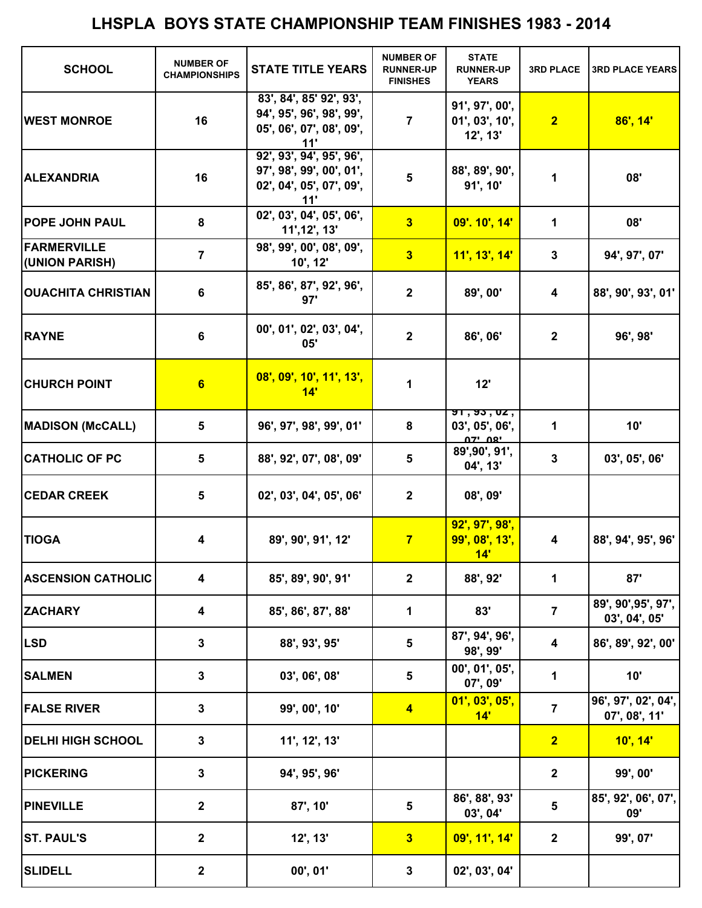| <b>SCHOOL</b>                        | <b>NUMBER OF</b><br><b>CHAMPIONSHIPS</b> | <b>STATE TITLE YEARS</b>                                                                | <b>NUMBER OF</b><br><b>RUNNER-UP</b><br><b>FINISHES</b> | <b>STATE</b><br><b>RUNNER-UP</b><br><b>YEARS</b> | <b>3RD PLACE</b> | <b>3RD PLACE YEARS</b>               |
|--------------------------------------|------------------------------------------|-----------------------------------------------------------------------------------------|---------------------------------------------------------|--------------------------------------------------|------------------|--------------------------------------|
| <b>WEST MONROE</b>                   | 16                                       | 83', 84', 85' 92', 93',<br>94', 95', 96', 98', 99',<br>05', 06', 07', 08', 09',<br>11'  | $\overline{7}$                                          | 91', 97', 00',<br>01', 03', 10',<br>12', 13'     | $\overline{2}$   | 86', 14'                             |
| <b>ALEXANDRIA</b>                    | 16                                       | 92', 93', 94', 95', 96',<br>97', 98', 99', 00', 01',<br>02', 04', 05', 07', 09',<br>11' | $5\phantom{1}$                                          | 88', 89', 90',<br>91', 10'                       | 1                | 08'                                  |
| <b>POPE JOHN PAUL</b>                | 8                                        | 02', 03', 04', 05', 06',<br>11', 12', 13'                                               | 3                                                       | 09'. 10', 14'                                    | 1                | 08'                                  |
| <b>FARMERVILLE</b><br>(UNION PARISH) | $\overline{7}$                           | 98', 99', 00', 08', 09',<br>10', 12'                                                    | 3                                                       | 11', 13', 14'                                    | $\mathbf{3}$     | 94', 97', 07'                        |
| <b>OUACHITA CHRISTIAN</b>            | 6                                        | 85', 86', 87', 92', 96',<br>97'                                                         | $\mathbf{2}$                                            | 89', 00'                                         | 4                | 88', 90', 93', 01'                   |
| <b>RAYNE</b>                         | 6                                        | 00', 01', 02', 03', 04',<br>05'                                                         | $\mathbf{2}$                                            | 86', 06'                                         | $\mathbf{2}$     | 96', 98'                             |
| <b>CHURCH POINT</b>                  | 6                                        | 08', 09', 10', 11', 13',<br>14'                                                         | 1                                                       | 12'                                              |                  |                                      |
| <b>MADISON (McCALL)</b>              | 5                                        | 96', 97', 98', 99', 01'                                                                 | 8                                                       | 51, 53, 02,<br>03', 05', 06',<br><u>יפח ידח</u>  | 1                | 10'                                  |
| <b>CATHOLIC OF PC</b>                | 5                                        | 88', 92', 07', 08', 09'                                                                 | 5                                                       | 89', 90', 91',<br>04', 13'                       | $\mathbf 3$      | 03', 05', 06'                        |
| <b>CEDAR CREEK</b>                   | 5                                        | 02', 03', 04', 05', 06'                                                                 | $\mathbf{2}$                                            | 08', 09'                                         |                  |                                      |
| <b>TIOGA</b>                         | 4                                        | 89', 90', 91', 12'                                                                      | $\overline{7}$                                          | 92', 97', 98',<br>99', 08', 13',<br>14'          | 4                | 88', 94', 95', 96'                   |
| <b>ASCENSION CATHOLIC</b>            | $\overline{\mathbf{4}}$                  | 85', 89', 90', 91'                                                                      | $\mathbf{2}$                                            | 88', 92'                                         | 1                | 87'                                  |
| <b>ZACHARY</b>                       | 4                                        | 85', 86', 87', 88'                                                                      | 1                                                       | 83'                                              | $\overline{7}$   | 89', 90', 95', 97',<br>03', 04', 05' |
| <b>LSD</b>                           | $\mathbf 3$                              | 88', 93', 95'                                                                           | $\overline{\mathbf{5}}$                                 | 87', 94', 96',<br>98', 99'                       | 4                | 86', 89', 92', 00'                   |
| <b>SALMEN</b>                        | 3                                        | 03', 06', 08'                                                                           | 5                                                       | 00', 01', 05',<br>07', 09'                       | 1                | 10'                                  |
| <b>FALSE RIVER</b>                   | 3                                        | 99', 00', 10'                                                                           | $\blacktriangleleft$                                    | 01', 03', 05',<br>14'                            | $\overline{7}$   | 96', 97', 02', 04',<br>07', 08', 11' |
| <b>DELHI HIGH SCHOOL</b>             | 3                                        | 11', 12', 13'                                                                           |                                                         |                                                  | $\overline{2}$   | 10', 14'                             |
| <b>PICKERING</b>                     | 3                                        | 94', 95', 96'                                                                           |                                                         |                                                  | $\mathbf 2$      | 99', 00'                             |
| <b>PINEVILLE</b>                     | $\mathbf 2$                              | 87', 10'                                                                                | 5                                                       | 86', 88', 93'<br>03', 04'                        | 5                | 85', 92', 06', 07',<br>09'           |
| <b>ST. PAUL'S</b>                    | $\mathbf{2}$                             | $12'$ , $13'$                                                                           | 3                                                       | 09', 11', 14'                                    | $\mathbf{2}$     | 99', 07'                             |
| <b>SLIDELL</b>                       | $\mathbf 2$                              | 00', 01'                                                                                | 3                                                       | 02', 03', 04'                                    |                  |                                      |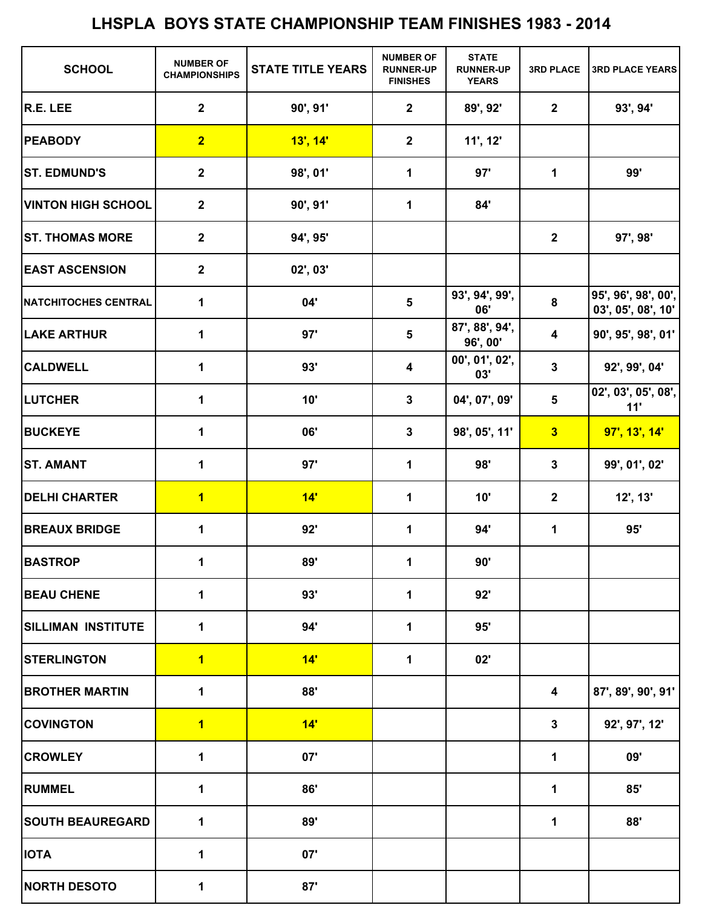| <b>SCHOOL</b>               | <b>NUMBER OF</b><br><b>CHAMPIONSHIPS</b> | <b>STATE TITLE YEARS</b> | <b>NUMBER OF</b><br><b>RUNNER-UP</b><br><b>FINISHES</b> | <b>STATE</b><br><b>RUNNER-UP</b><br><b>YEARS</b> | <b>3RD PLACE</b>        | <b>3RD PLACE YEARS</b>                    |
|-----------------------------|------------------------------------------|--------------------------|---------------------------------------------------------|--------------------------------------------------|-------------------------|-------------------------------------------|
| R.E. LEE                    | $\mathbf 2$                              | 90', 91'                 | $\mathbf{2}$                                            | 89', 92'                                         | $\mathbf{2}$            | 93', 94'                                  |
| <b>PEABODY</b>              | $\overline{2}$                           | $13'$ , $14'$            | $\mathbf{2}$                                            | 11', 12'                                         |                         |                                           |
| <b>ST. EDMUND'S</b>         | $\mathbf 2$                              | 98', 01'                 | $\mathbf 1$                                             | 97'                                              | 1                       | 99'                                       |
| <b>VINTON HIGH SCHOOL</b>   | $\mathbf 2$                              | 90', 91'                 | $\mathbf 1$                                             | 84'                                              |                         |                                           |
| <b>ST. THOMAS MORE</b>      | $\mathbf 2$                              | 94', 95'                 |                                                         |                                                  | $\mathbf{2}$            | 97', 98'                                  |
| <b>EAST ASCENSION</b>       | $\mathbf 2$                              | 02', 03'                 |                                                         |                                                  |                         |                                           |
| <b>NATCHITOCHES CENTRAL</b> | 1                                        | 04'                      | $\overline{\mathbf{5}}$                                 | 93', 94', 99',<br>06'                            | 8                       | 95', 96', 98', 00',<br>03', 05', 08', 10' |
| <b>LAKE ARTHUR</b>          | 1                                        | 97'                      | $5\phantom{1}$                                          | 87', 88', 94',<br>96', 00'                       | 4                       | 90', 95', 98', 01'                        |
| <b>CALDWELL</b>             | 1                                        | 93'                      | $\overline{\mathbf{4}}$                                 | 00', 01', 02',<br>03'                            | $\mathbf 3$             | 92', 99', 04'                             |
| <b>LUTCHER</b>              | 1                                        | 10'                      | $\mathbf{3}$                                            | 04', 07', 09'                                    | $5\phantom{a}$          | 02', 03', 05', 08',<br>11'                |
| <b>BUCKEYE</b>              | $\mathbf 1$                              | 06'                      | $\mathbf{3}$                                            | 98', 05', 11'                                    | $\overline{\mathbf{3}}$ | 97', 13', 14'                             |
| <b>ST. AMANT</b>            | 1                                        | 97'                      | 1                                                       | 98'                                              | $\mathbf 3$             | 99', 01', 02'                             |
| <b>DELHI CHARTER</b>        | $\overline{\mathbf{1}}$                  | 14'                      | $\mathbf 1$                                             | 10'                                              | $\mathbf{2}$            | 12', 13'                                  |
| <b>BREAUX BRIDGE</b>        | 1                                        | 92'                      | 1                                                       | 94'                                              | 1                       | 95'                                       |
| <b>BASTROP</b>              | $\mathbf 1$                              | 89'                      | 1                                                       | 90'                                              |                         |                                           |
| <b>BEAU CHENE</b>           | 1                                        | 93'                      | 1                                                       | 92'                                              |                         |                                           |
| <b>SILLIMAN INSTITUTE</b>   | 1                                        | 94'                      | 1                                                       | 95'                                              |                         |                                           |
| <b>STERLINGTON</b>          | $\overline{\mathbf{1}}$                  | 14'                      | $\mathbf{1}$                                            | 02'                                              |                         |                                           |
| <b>BROTHER MARTIN</b>       | 1                                        | 88'                      |                                                         |                                                  | 4                       | 87', 89', 90', 91'                        |
| <b>COVINGTON</b>            | $\overline{\mathbf{1}}$                  | 14'                      |                                                         |                                                  | $\mathbf 3$             | 92', 97', 12'                             |
| <b>CROWLEY</b>              | 1                                        | 07'                      |                                                         |                                                  | 1                       | 09'                                       |
| <b>RUMMEL</b>               | 1                                        | 86'                      |                                                         |                                                  | 1                       | 85'                                       |
| <b>SOUTH BEAUREGARD</b>     | 1                                        | 89'                      |                                                         |                                                  | 1                       | 88'                                       |
| <b>IOTA</b>                 | 1                                        | 07'                      |                                                         |                                                  |                         |                                           |
| <b>NORTH DESOTO</b>         | 1                                        | 87'                      |                                                         |                                                  |                         |                                           |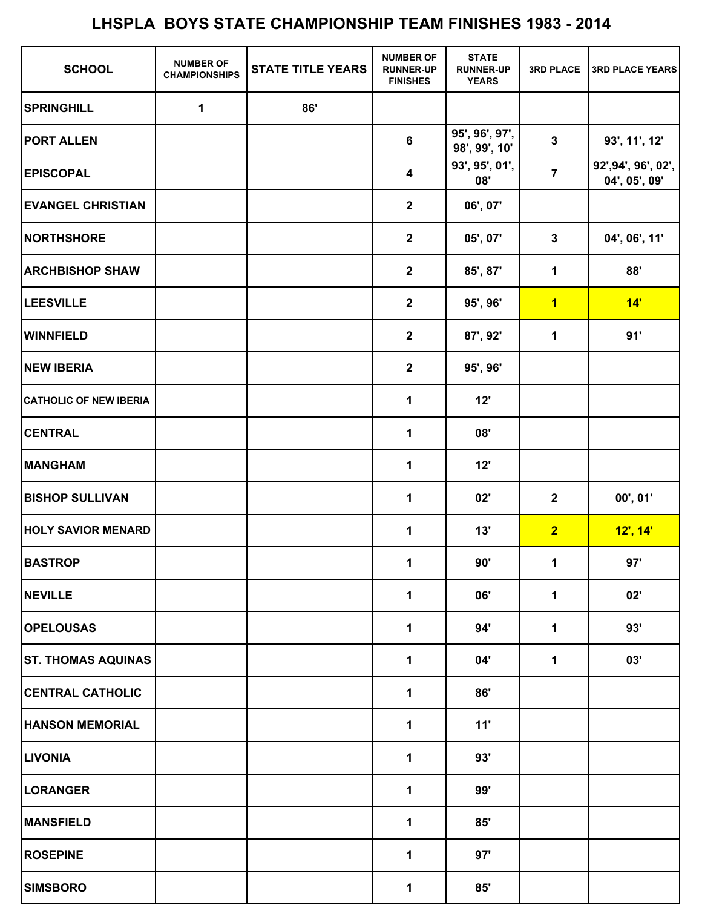| <b>SCHOOL</b>                 | <b>NUMBER OF</b><br><b>CHAMPIONSHIPS</b> | <b>STATE TITLE YEARS</b> | <b>NUMBER OF</b><br><b>RUNNER-UP</b><br><b>FINISHES</b> | <b>STATE</b><br><b>RUNNER-UP</b><br><b>YEARS</b> | <b>3RD PLACE</b>        | <b>3RD PLACE YEARS</b>               |
|-------------------------------|------------------------------------------|--------------------------|---------------------------------------------------------|--------------------------------------------------|-------------------------|--------------------------------------|
| <b>SPRINGHILL</b>             | $\mathbf 1$                              | 86'                      |                                                         |                                                  |                         |                                      |
| <b>PORT ALLEN</b>             |                                          |                          | 6                                                       | 95', 96', 97',<br>98', 99', 10'                  | $\mathbf{3}$            | 93', 11', 12'                        |
| <b>EPISCOPAL</b>              |                                          |                          | $\overline{\mathbf{4}}$                                 | 93', 95', 01',<br>08'                            | $\overline{7}$          | 92', 94', 96', 02',<br>04', 05', 09' |
| <b>EVANGEL CHRISTIAN</b>      |                                          |                          | $\mathbf{2}$                                            | 06', 07'                                         |                         |                                      |
| <b>NORTHSHORE</b>             |                                          |                          | $\overline{2}$                                          | 05', 07'                                         | $\mathbf{3}$            | 04', 06', 11'                        |
| <b>ARCHBISHOP SHAW</b>        |                                          |                          | $\mathbf{2}$                                            | 85', 87'                                         | 1                       | 88'                                  |
| <b>LEESVILLE</b>              |                                          |                          | $\mathbf{2}$                                            | 95', 96'                                         | $\overline{\mathbf{1}}$ | 14'                                  |
| <b>WINNFIELD</b>              |                                          |                          | $\mathbf{2}$                                            | 87', 92'                                         | $\mathbf 1$             | 91'                                  |
| <b>NEW IBERIA</b>             |                                          |                          | $\overline{2}$                                          | 95', 96'                                         |                         |                                      |
| <b>CATHOLIC OF NEW IBERIA</b> |                                          |                          | 1                                                       | 12'                                              |                         |                                      |
| <b>CENTRAL</b>                |                                          |                          | 1                                                       | 08'                                              |                         |                                      |
| <b>MANGHAM</b>                |                                          |                          | 1                                                       | 12'                                              |                         |                                      |
| <b>BISHOP SULLIVAN</b>        |                                          |                          | 1                                                       | 02'                                              | $\mathbf{2}$            | 00', 01'                             |
| <b>HOLY SAVIOR MENARD</b>     |                                          |                          | 1                                                       | 13'                                              | $\overline{2}$          | $12'$ , $14'$                        |
| <b>BASTROP</b>                |                                          |                          | $\mathbf 1$                                             | 90'                                              | $\mathbf 1$             | 97'                                  |
| <b>NEVILLE</b>                |                                          |                          | $\mathbf 1$                                             | 06'                                              | 1                       | 02'                                  |
| <b>OPELOUSAS</b>              |                                          |                          | 1                                                       | 94'                                              | 1                       | 93'                                  |
| <b>ST. THOMAS AQUINAS</b>     |                                          |                          | 1                                                       | 04'                                              | 1                       | 03'                                  |
| <b>CENTRAL CATHOLIC</b>       |                                          |                          | 1                                                       | 86'                                              |                         |                                      |
| <b>HANSON MEMORIAL</b>        |                                          |                          | 1                                                       | 11'                                              |                         |                                      |
| <b>LIVONIA</b>                |                                          |                          | 1                                                       | 93'                                              |                         |                                      |
| <b>LORANGER</b>               |                                          |                          | 1                                                       | 99'                                              |                         |                                      |
| <b>MANSFIELD</b>              |                                          |                          | 1                                                       | 85'                                              |                         |                                      |
| <b>ROSEPINE</b>               |                                          |                          | 1                                                       | 97'                                              |                         |                                      |
| <b>SIMSBORO</b>               |                                          |                          | 1                                                       | 85'                                              |                         |                                      |